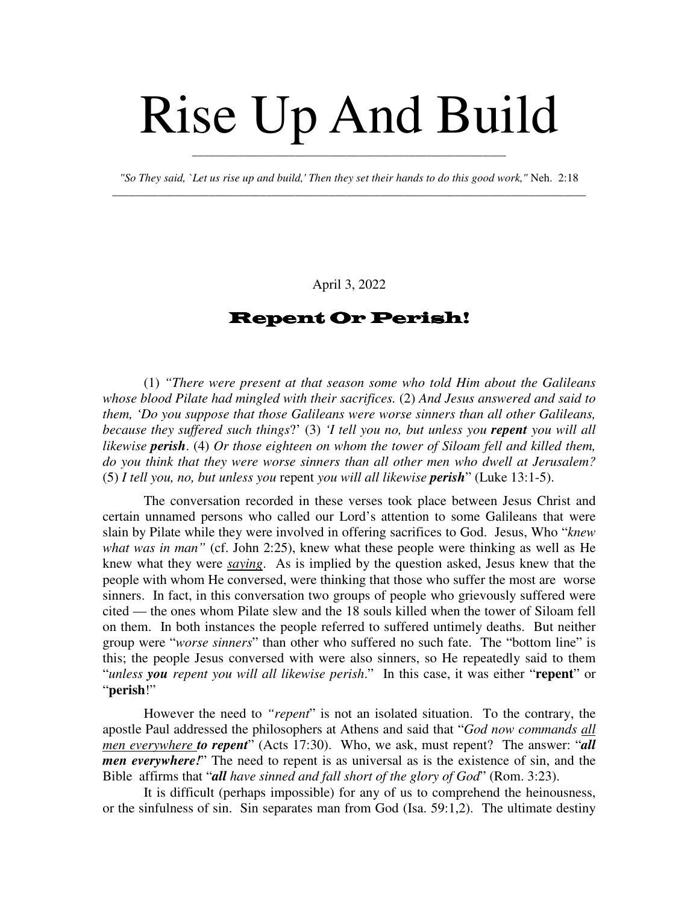# Rise Up And Build

*"So They said, `Let us rise up and build,' Then they set their hands to do this good work,"* Neh. 2:18 \_\_\_\_\_\_\_\_\_\_\_\_\_\_\_\_\_\_\_\_\_\_\_\_\_\_\_\_\_\_\_\_\_\_\_\_\_\_\_\_\_\_\_\_\_\_\_\_\_\_\_\_\_\_\_\_\_\_\_\_\_\_\_\_\_\_\_\_\_\_\_\_\_\_\_\_\_\_\_\_\_\_\_

\_\_\_\_\_\_\_\_\_\_\_\_\_\_\_\_\_\_\_\_\_\_\_\_\_\_\_\_\_\_\_\_\_\_\_\_\_\_\_\_\_\_\_\_\_\_\_\_\_\_\_\_\_\_\_

April 3, 2022

## Repent Or Perish!

(1) *"There were present at that season some who told Him about the Galileans whose blood Pilate had mingled with their sacrifices.* (2) *And Jesus answered and said to them, 'Do you suppose that those Galileans were worse sinners than all other Galileans, because they suffered such things*?' (3) *'I tell you no, but unless you repent you will all likewise perish*. (4) *Or those eighteen on whom the tower of Siloam fell and killed them, do you think that they were worse sinners than all other men who dwell at Jerusalem?* (5) *I tell you, no, but unless you* repent *you will all likewise perish*" (Luke 13:1-5).

The conversation recorded in these verses took place between Jesus Christ and certain unnamed persons who called our Lord's attention to some Galileans that were slain by Pilate while they were involved in offering sacrifices to God. Jesus, Who "*knew what was in man"* (cf. John 2:25), knew what these people were thinking as well as He knew what they were *saying*. As is implied by the question asked, Jesus knew that the people with whom He conversed, were thinking that those who suffer the most are worse sinners. In fact, in this conversation two groups of people who grievously suffered were cited — the ones whom Pilate slew and the 18 souls killed when the tower of Siloam fell on them. In both instances the people referred to suffered untimely deaths. But neither group were "*worse sinners*" than other who suffered no such fate. The "bottom line" is this; the people Jesus conversed with were also sinners, so He repeatedly said to them "*unless you repent you will all likewise perish*." In this case, it was either "**repent**" or "**perish**!"

However the need to *"repent*" is not an isolated situation. To the contrary, the apostle Paul addressed the philosophers at Athens and said that "*God now commands all men everywhere to repent*" (Acts 17:30). Who, we ask, must repent? The answer: "*all men everywhere!*" The need to repent is as universal as is the existence of sin, and the Bible affirms that "*all have sinned and fall short of the glory of God*" (Rom. 3:23).

It is difficult (perhaps impossible) for any of us to comprehend the heinousness, or the sinfulness of sin. Sin separates man from God (Isa. 59:1,2). The ultimate destiny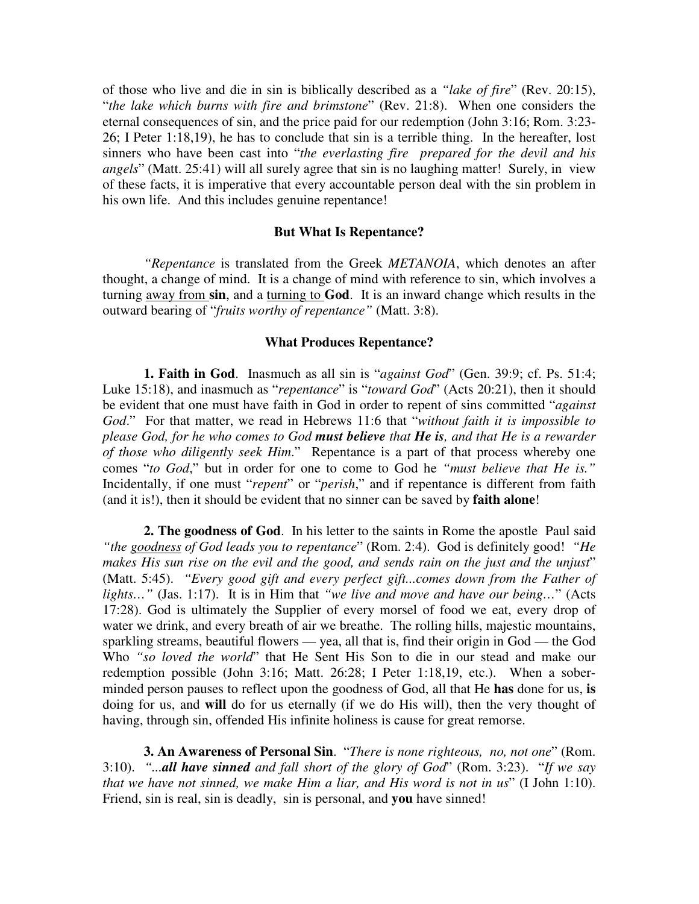of those who live and die in sin is biblically described as a *"lake of fire*" (Rev. 20:15), "*the lake which burns with fire and brimstone*" (Rev. 21:8). When one considers the eternal consequences of sin, and the price paid for our redemption (John 3:16; Rom. 3:23- 26; I Peter 1:18,19), he has to conclude that sin is a terrible thing. In the hereafter, lost sinners who have been cast into "*the everlasting fire prepared for the devil and his angels*" (Matt. 25:41) will all surely agree that sin is no laughing matter! Surely, in view of these facts, it is imperative that every accountable person deal with the sin problem in his own life. And this includes genuine repentance!

### **But What Is Repentance?**

*"Repentance* is translated from the Greek *METANOIA*, which denotes an after thought, a change of mind. It is a change of mind with reference to sin, which involves a turning away from **sin**, and a turning to **God**. It is an inward change which results in the outward bearing of "*fruits worthy of repentance"* (Matt. 3:8).

### **What Produces Repentance?**

**1. Faith in God**. Inasmuch as all sin is "*against God*" (Gen. 39:9; cf. Ps. 51:4; Luke 15:18), and inasmuch as "*repentance*" is "*toward God*" (Acts 20:21), then it should be evident that one must have faith in God in order to repent of sins committed "*against God*." For that matter, we read in Hebrews 11:6 that "*without faith it is impossible to please God, for he who comes to God must believe that He is, and that He is a rewarder of those who diligently seek Him*." Repentance is a part of that process whereby one comes "*to God*," but in order for one to come to God he *"must believe that He is."* Incidentally, if one must "*repent*" or "*perish*," and if repentance is different from faith (and it is!), then it should be evident that no sinner can be saved by **faith alone**!

**2. The goodness of God**. In his letter to the saints in Rome the apostle Paul said *"the goodness of God leads you to repentance*" (Rom. 2:4). God is definitely good! *"He makes His sun rise on the evil and the good, and sends rain on the just and the unjust*" (Matt. 5:45). *"Every good gift and every perfect gift...comes down from the Father of lights…"* (Jas. 1:17). It is in Him that *"we live and move and have our being…*" (Acts 17:28). God is ultimately the Supplier of every morsel of food we eat, every drop of water we drink, and every breath of air we breathe. The rolling hills, majestic mountains, sparkling streams, beautiful flowers — yea, all that is, find their origin in God — the God Who *"so loved the world*" that He Sent His Son to die in our stead and make our redemption possible (John 3:16; Matt. 26:28; I Peter 1:18,19, etc.). When a soberminded person pauses to reflect upon the goodness of God, all that He **has** done for us, **is** doing for us, and **will** do for us eternally (if we do His will), then the very thought of having, through sin, offended His infinite holiness is cause for great remorse.

**3. An Awareness of Personal Sin**. "*There is none righteous, no, not one*" (Rom. 3:10). *"...all have sinned and fall short of the glory of God*" (Rom. 3:23). "*If we say that we have not sinned, we make Him a liar, and His word is not in us*" (I John 1:10). Friend, sin is real, sin is deadly, sin is personal, and **you** have sinned!